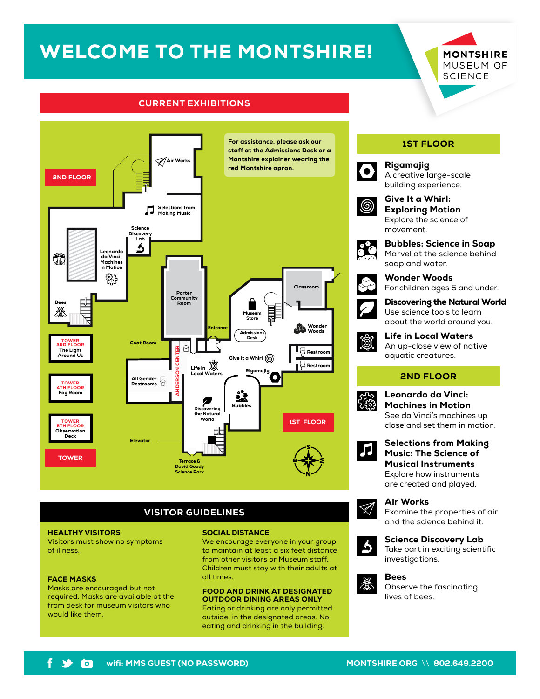# WELCOME TO THE MONTSHIRE!

**MONTSHIRE** MUSEUM OF **SCIENCE** 

# CURRENT EXHIBITIONS



# VISITOR GUIDELINES

#### HEALTHY VISITORS

Visitors must show no symptoms of illness.

#### FACE MASKS

Masks are encouraged but not required. Masks are available at the from desk for museum visitors who would like them.

#### SOCIAL DISTANCE

We encourage everyone in your group to maintain at least a six feet distance from other visitors or Museum staff. Children must stay with their adults at all times.

#### FOOD AND DRINK AT DESIGNATED OUTDOOR DINING AREAS ONLY

Eating or drinking are only permitted outside, in the designated areas. No eating and drinking in the building.

# 1ST FLOOR



A creative large-scale building experience.



Give It a Whirl: Exploring Motion Explore the science of movement.



Bubbles: Science in Soap Marvel at the science behind soap and water.



Wonder Woods For children ages 5 and under.



Discovering the Natural World Use science tools to learn about the world around you.



Life in Local Waters An up-close view of native

# 2ND FLOOR



Leonardo da Vinci: Machines in Motion See da Vinci's machines up close and set them in motion.



Selections from Making Music: The Science of Musical Instruments Explore how instruments are created and played.

Air Works

Examine the properties of air and the science behind it.



 $\mathscr{A}$ 

Science Discovery Lab





Observe the fascinating lives of bees.